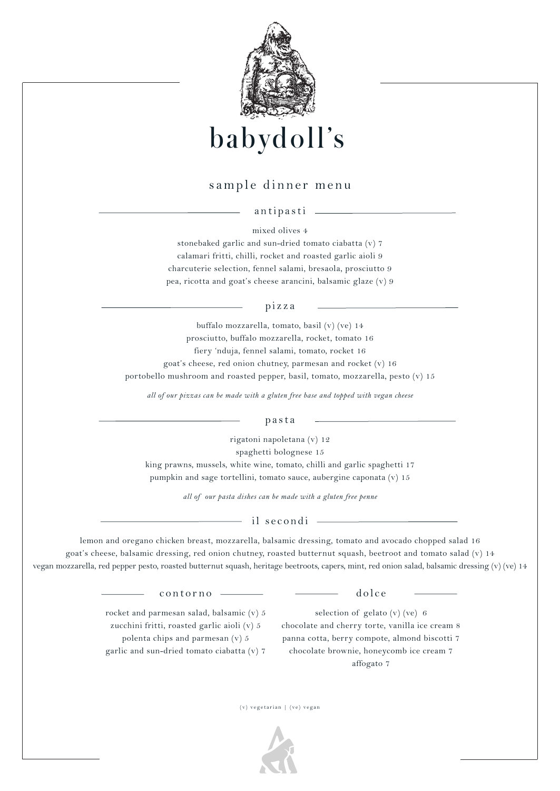

# babydoll's

## sample dinner menu

antipasti

mixed olives 4 stonebaked garlic and sun-dried tomato ciabatta (v) 7 calamari fritti, chilli, rocket and roasted garlic aioli 9 charcuterie selection, fennel salami, bresaola, prosciutto 9 pea, ricotta and goat's cheese arancini, balsamic glaze (v) 9

### pizza

buffalo mozzarella, tomato, basil (v) (ve) 14 prosciutto, buffalo mozzarella, rocket, tomato 16 fiery 'nduja, fennel salami, tomato, rocket 16 goat's cheese, red onion chutney, parmesan and rocket (v) 16 portobello mushroom and roasted pepper, basil, tomato, mozzarella, pesto (v) 15

*all of our pizzas can be made with a gluten free base and topped with vegan cheese*

#### pasta

rigatoni napoletana (v) 12

spaghetti bolognese 15

king prawns, mussels, white wine, tomato, chilli and garlic spaghetti 17 pumpkin and sage tortellini, tomato sauce, aubergine caponata (v) 15

*all of our pasta dishes can be made with a gluten free penne*

### il secondi

lemon and oregano chicken breast, mozzarella, balsamic dressing, tomato and avocado chopped salad 16 goat's cheese, balsamic dressing, red onion chutney, roasted butternut squash, beetroot and tomato salad (v) 14 vegan mozzarella, red pepper pesto, roasted butternut squash, heritage beetroots, capers, mint, red onion salad, balsamic dressing (v) (ve) 14

#### dolce

contorno

rocket and parmesan salad, balsamic (v) 5 zucchini fritti, roasted garlic aioli (v) 5

- polenta chips and parmesan (v) 5
- garlic and sun-dried tomato ciabatta (v) 7

selection of gelato (v) (ve) 6 chocolate and cherry torte, vanilla ice cream 8 panna cotta, berry compote, almond biscotti 7 chocolate brownie, honeycomb ice cream 7 affogato 7

 $(v)$  vegetarian | (ve) vegan